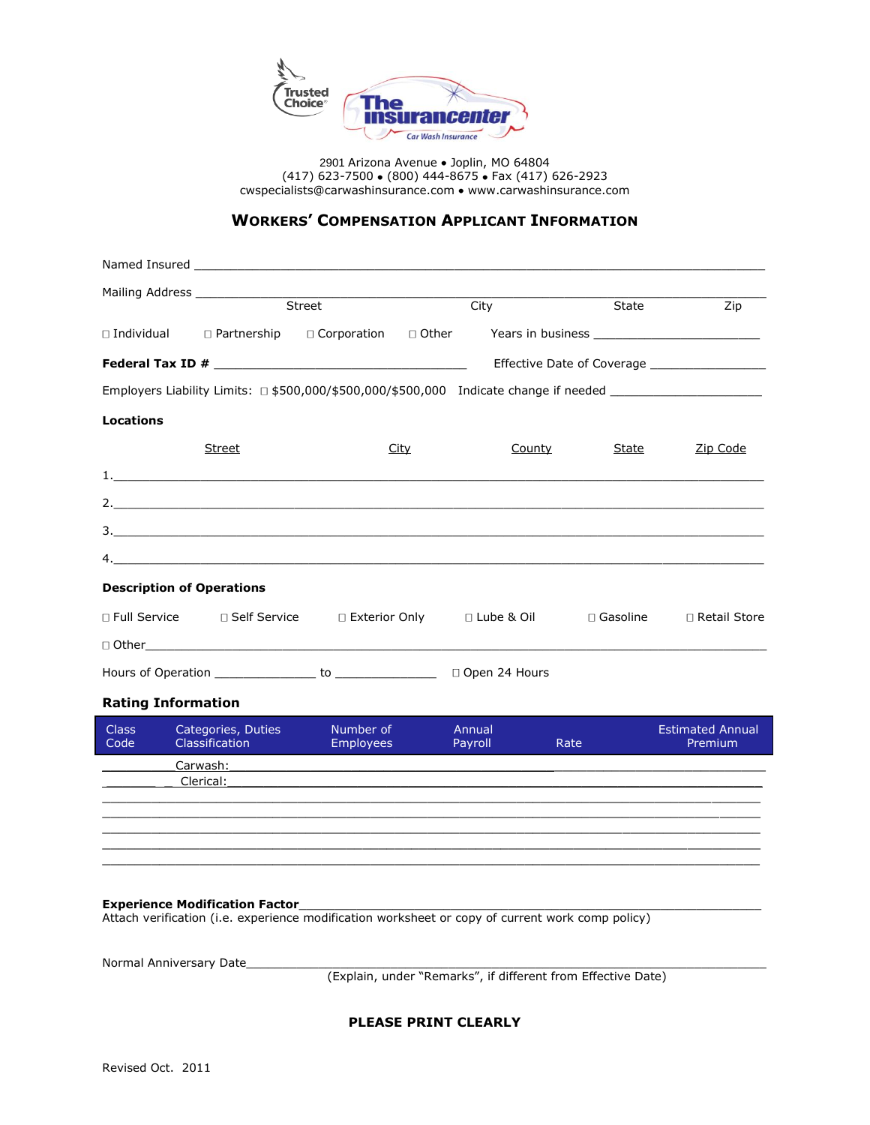

2901 Arizona Avenue · Joplin, MO 64804 (417) 623-7500 (800) 444-8675 · Fax (417) 626-2923 [cwspecialists@carwashinsurance.com](mailto:cwspecialists@carwashinsurance.com) • www.carwashinsurance.com

## **WORKERS' COMPENSATION APPLICANT INFORMATION**

|                  | Mailing Address and the contract of the contract of the contract of the contract of the contract of the contract of the contract of the contract of the contract of the contract of the contract of the contract of the contra |           |      |        |                 |                                               |
|------------------|--------------------------------------------------------------------------------------------------------------------------------------------------------------------------------------------------------------------------------|-----------|------|--------|-----------------|-----------------------------------------------|
|                  |                                                                                                                                                                                                                                | Street    | City |        |                 | <b>State State</b><br>Zip                     |
|                  |                                                                                                                                                                                                                                |           |      |        |                 |                                               |
|                  |                                                                                                                                                                                                                                |           |      |        |                 | Effective Date of Coverage __________________ |
|                  | Employers Liability Limits: □ \$500,000/\$500,000/\$500,000 Indicate change if needed ________________                                                                                                                         |           |      |        |                 |                                               |
| <b>Locations</b> |                                                                                                                                                                                                                                |           |      |        |                 |                                               |
|                  | Street                                                                                                                                                                                                                         |           | City | County | State           | Zip Code                                      |
|                  |                                                                                                                                                                                                                                |           |      |        |                 |                                               |
|                  |                                                                                                                                                                                                                                |           |      |        |                 |                                               |
|                  |                                                                                                                                                                                                                                |           |      |        |                 |                                               |
|                  | $4.$ $\blacksquare$                                                                                                                                                                                                            |           |      |        |                 |                                               |
|                  | <b>Description of Operations</b>                                                                                                                                                                                               |           |      |        |                 |                                               |
|                  | □ Full Service    □ Self Service    □ Exterior Only    □ Lube & Oil                                                                                                                                                            |           |      |        | $\Box$ Gasoline | □ Retail Store                                |
|                  |                                                                                                                                                                                                                                |           |      |        |                 |                                               |
|                  |                                                                                                                                                                                                                                |           |      |        |                 |                                               |
|                  | <b>Rating Information</b>                                                                                                                                                                                                      |           |      |        |                 |                                               |
|                  | Class Categories, Duties                                                                                                                                                                                                       | Number of |      | Annual |                 | <b>Estimated Annual</b>                       |

| <b>CICOS</b><br>Code | Calcybrics, Duties<br>Classification | <b>IVUITIDEL UI</b><br><b>Employees</b> | Alliudi<br>Payroll | Rate | <b>LSUIRGUEU ANNUAL</b><br>Premium |
|----------------------|--------------------------------------|-----------------------------------------|--------------------|------|------------------------------------|
|                      | Carwash:                             |                                         |                    |      |                                    |
|                      | Clerical:                            |                                         |                    |      |                                    |
|                      |                                      |                                         |                    |      |                                    |
|                      |                                      |                                         |                    |      |                                    |
|                      |                                      |                                         |                    |      |                                    |
|                      |                                      |                                         |                    |      |                                    |
|                      |                                      |                                         |                    |      |                                    |

## **Experience Modification Factor**\_\_\_\_\_\_\_\_\_\_\_\_\_\_\_\_\_\_\_\_\_\_\_\_\_\_\_\_\_\_\_\_\_\_\_\_\_\_\_\_\_\_\_\_\_\_\_\_\_\_\_\_\_\_\_\_\_\_\_\_\_\_\_\_

Attach verification (i.e. experience modification worksheet or copy of current work comp policy)

Normal Anniversary Date\_

(Explain, under "Remarks", if different from Effective Date)

**PLEASE PRINT CLEARLY**